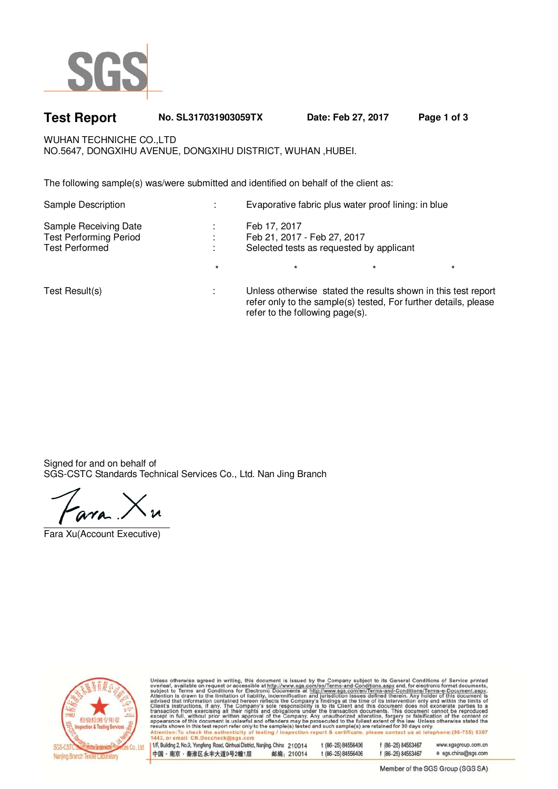

# **Test Report No. SL317031903059TX Date: Feb 27, 2017 Page 1 of 3**

WUHAN TECHNICHE CO., LTD NO.5647, DONGXIHU AVENUE, DONGXIHU DISTRICT, WUHAN ,HUBEI.

The following sample(s) was/were submitted and identified on behalf of the client as:

| Sample Description                                                              | ÷                            | Evaporative fabric plus water proof lining: in blue                                                                                                                 |         |         |  |
|---------------------------------------------------------------------------------|------------------------------|---------------------------------------------------------------------------------------------------------------------------------------------------------------------|---------|---------|--|
| Sample Receiving Date<br><b>Test Performing Period</b><br><b>Test Performed</b> | $\mathbf{r}$<br>$\mathbf{r}$ | Feb 17, 2017<br>Feb 21, 2017 - Feb 27, 2017<br>Selected tests as requested by applicant                                                                             |         |         |  |
|                                                                                 | $\star$                      | $\star$                                                                                                                                                             | $\star$ | $\star$ |  |
| Test Result(s)                                                                  | ×.                           | Unless otherwise stated the results shown in this test report<br>refer only to the sample(s) tested, For further details, please<br>refer to the following page(s). |         |         |  |

Signed for and on behalf of SGS-CSTC Standards Technical Services Co., Ltd. Nan Jing Branch

Fara Xu(Account Executive)



Unless otherwise agreed in writing, this document is issued by the Company subject to its General Conditions of Service printed<br>overleaf, available on request or accessible at http://www.sgs.com/en/Terms-and-Conditions.as .<br>phone:(86-755) 8307 Attention:To check the authenticity of<br>1443, or email: CN.Doccheck@sgs.com

| 1/F, Building 2, No.9, Yongfeng Road, Qinhuai District, Nanjing, China 210014 |            | 1 (86-25) 84556406 | f (86-25) 84553467 | www.sgsgroup.com.cn |
|-------------------------------------------------------------------------------|------------|--------------------|--------------------|---------------------|
| 中国・南京・秦淮区永丰大道9号2幢1层                                                           | 邮编: 210014 | t (86-25) 84556406 | f (86-25) 84553467 | e sgs.china@sgs.com |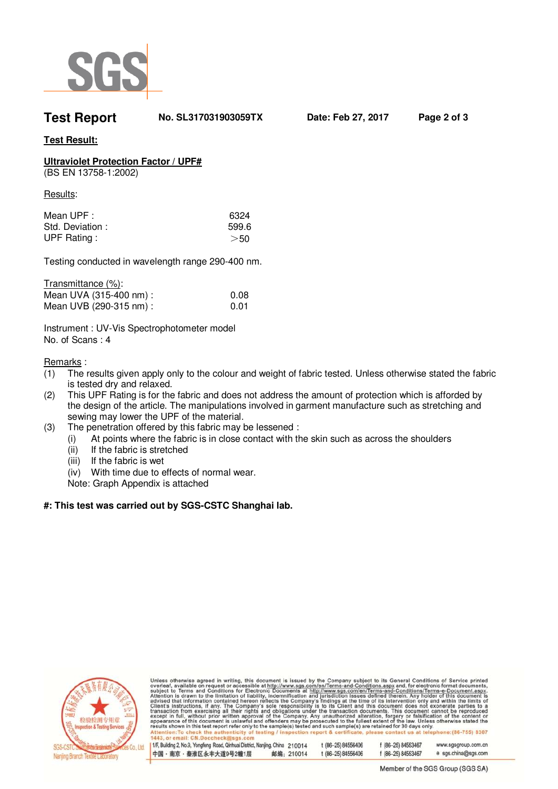

**Test Report No. SL317031903059TX Date: Feb 27, 2017 Page 2 of 3** 

### **Test Result:**

## **Ultraviolet Protection Factor / UPF#**

(BS EN 13758-1:2002)

Results:

| Mean UPF :         | 6324  |
|--------------------|-------|
| Std. Deviation:    | 599.6 |
| <b>UPF Rating:</b> | >50   |

Testing conducted in wavelength range 290-400 nm.

| Transmittance (%):      |      |
|-------------------------|------|
| Mean UVA (315-400 nm) : | 0.08 |
| Mean UVB (290-315 nm) : | 0.01 |

Instrument : UV-Vis Spectrophotometer model No. of Scans : 4

Remarks :

- (1) The results given apply only to the colour and weight of fabric tested. Unless otherwise stated the fabric is tested dry and relaxed.
- (2) This UPF Rating is for the fabric and does not address the amount of protection which is afforded by the design of the article. The manipulations involved in garment manufacture such as stretching and sewing may lower the UPF of the material.
- (3) The penetration offered by this fabric may be lessened :
	- (i) At points where the fabric is in close contact with the skin such as across the shoulders
		- (ii) If the fabric is stretched
		- (iii) If the fabric is wet
		- (iv) With time due to effects of normal wear.
		- Note: Graph Appendix is attached

#### **#: This test was carried out by SGS-CSTC Shanghai lab.**



Unless otherwise agreed in writing, this document is issued by the Company subject to its General Conditions of Service printed<br>overleaf, available on request or accessible at http://www.sgs.com/en/Terms-and-Conditions.as Attention: To check the auth<br>1443, or email: CN.Docchec enticity of

| I/F, Building 2, No.9, Yongfeng Road, Qinhuai District, Nanjing, China 210014 |            | (86–25)84556406       | f (86-25) 84553467 | www.sgsgroup.com.cn |
|-------------------------------------------------------------------------------|------------|-----------------------|--------------------|---------------------|
| 中国・南京・秦淮区永丰大道9号2幢1层                                                           | 邮编: 210014 | $*(86 - 25) 84556406$ | f (86-25) 84553467 | e sgs.china@sgs.com |